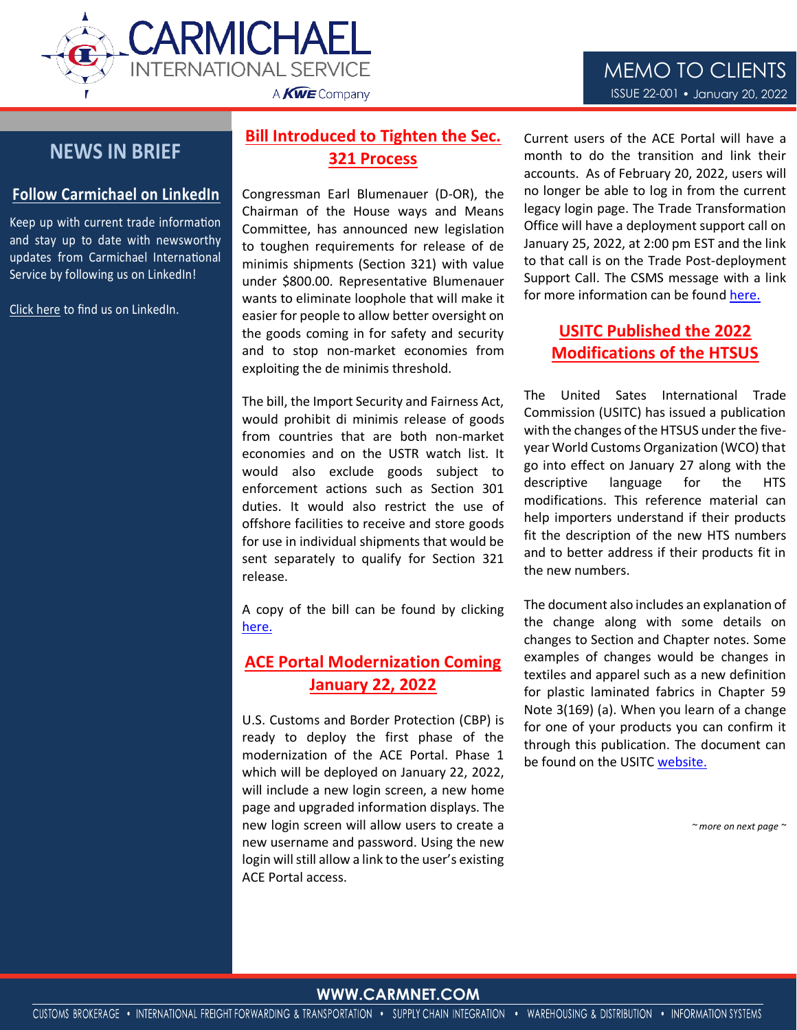

# **NEWS IN BRIEF**

#### **Follow Carmichael on LinkedIn**

Keep up with current trade information and stay up to date with newsworthy updates from Carmichael International Service by following us on LinkedIn!

[Click here](https://www.linkedin.com/company/carmichael-international-service/) to find us on LinkedIn.

## **Bill Introduced to Tighten the Sec. 321 Process**

Congressman Earl Blumenauer (D-OR), the Chairman of the House ways and Means Committee, has announced new legislation to toughen requirements for release of de minimis shipments (Section 321) with value under \$800.00. Representative Blumenauer wants to eliminate loophole that will make it easier for people to allow better oversight on the goods coming in for safety and security and to stop non-market economies from exploiting the de minimis threshold.

The bill, the Import Security and Fairness Act, would prohibit di minimis release of goods from countries that are both non-market economies and on the USTR watch list. It would also exclude goods subject to enforcement actions such as Section 301 duties. It would also restrict the use of offshore facilities to receive and store goods for use in individual shipments that would be sent separately to qualify for Section 321 release.

A copy of the bill can be found by clicking [here.](https://blumenauer.house.gov/sites/blumenauer.house.gov/files/documents/BLUMEN_069_xml%5B1%5D.pdf)

#### **ACE Portal Modernization Coming January 22, 2022**

U.S. Customs and Border Protection (CBP) is ready to deploy the first phase of the modernization of the ACE Portal. Phase 1 which will be deployed on January 22, 2022, will include a new login screen, a new home page and upgraded information displays. The new login screen will allow users to create a new username and password. Using the new login will still allow a link to the user's existing ACE Portal access.

Current users of the ACE Portal will have a month to do the transition and link their accounts. As of February 20, 2022, users will no longer be able to log in from the current legacy login page. The Trade Transformation Office will have a deployment support call on January 25, 2022, at 2:00 pm EST and the link to that call is on the Trade Post-deployment Support Call. The CSMS message with a link for more information can be found [here.](https://content.govdelivery.com/bulletins/gd/USDHSCBP-3066dc6?wgt_ref=USDHSCBP_WIDGET_2) 

### **USITC Published the 2022 Modifications of the HTSUS**

The United Sates International Trade Commission (USITC) has issued a publication with the changes of the HTSUS under the fiveyear World Customs Organization (WCO) that go into effect on January 27 along with the descriptive language for the HTS modifications. This reference material can help importers understand if their products fit the description of the new HTS numbers and to better address if their products fit in the new numbers.

The document also includes an explanation of the change along with some details on changes to Section and Chapter notes. Some examples of changes would be changes in textiles and apparel such as a new definition for plastic laminated fabrics in Chapter 59 Note 3(169) (a). When you learn of a change for one of your products you can confirm it through this publication. The document can be found on the USITC [website.](https://www.usitc.gov/publications/tariff_affairs/pub5240.pdf)

*~ more on next page ~*

#### WWW.CARMENT.COOM **WWW.CARMNET.COM**